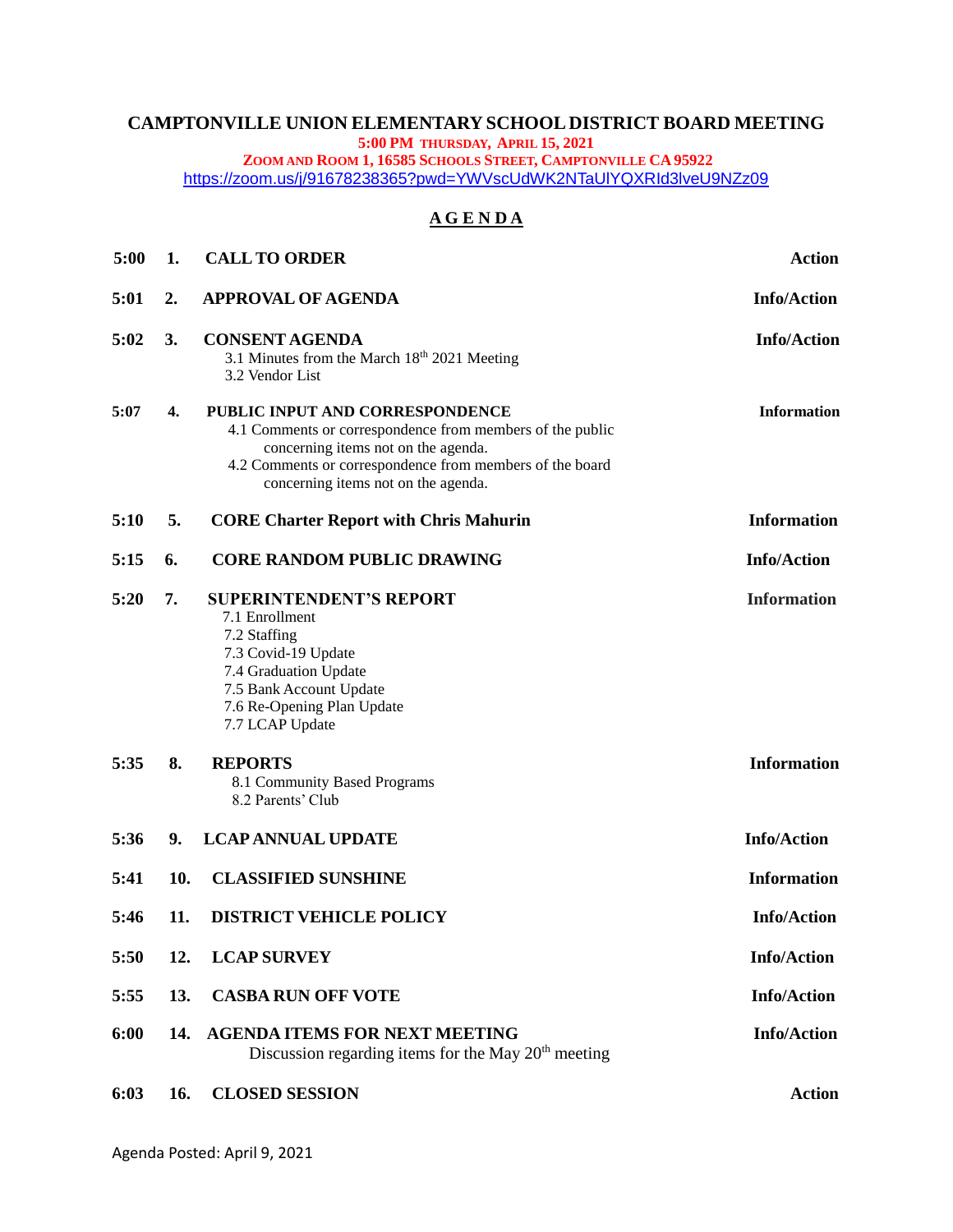# **CAMPTONVILLE UNION ELEMENTARY SCHOOL DISTRICT BOARD MEETING**

**5:00 PM THURSDAY, APRIL 15, 2021**

**ZOOM AND ROOM 1, 16585 SCHOOLS STREET, CAMPTONVILLE CA 95922**

<https://zoom.us/j/91678238365?pwd=YWVscUdWK2NTaUlYQXRId3lveU9NZz09>

## **A G E N D A**

| 5:00 | 1.  | <b>CALL TO ORDER</b>                                                                                                                                                                                                                   | <b>Action</b>      |
|------|-----|----------------------------------------------------------------------------------------------------------------------------------------------------------------------------------------------------------------------------------------|--------------------|
| 5:01 | 2.  | <b>APPROVAL OF AGENDA</b>                                                                                                                                                                                                              | <b>Info/Action</b> |
| 5:02 | 3.  | <b>CONSENT AGENDA</b><br>3.1 Minutes from the March 18th 2021 Meeting<br>3.2 Vendor List                                                                                                                                               | <b>Info/Action</b> |
| 5:07 | 4.  | PUBLIC INPUT AND CORRESPONDENCE<br>4.1 Comments or correspondence from members of the public<br>concerning items not on the agenda.<br>4.2 Comments or correspondence from members of the board<br>concerning items not on the agenda. | <b>Information</b> |
| 5:10 | 5.  | <b>CORE Charter Report with Chris Mahurin</b>                                                                                                                                                                                          | <b>Information</b> |
| 5:15 | 6.  | <b>CORE RANDOM PUBLIC DRAWING</b>                                                                                                                                                                                                      | <b>Info/Action</b> |
| 5:20 | 7.  | <b>SUPERINTENDENT'S REPORT</b><br>7.1 Enrollment<br>7.2 Staffing<br>7.3 Covid-19 Update<br>7.4 Graduation Update<br>7.5 Bank Account Update<br>7.6 Re-Opening Plan Update<br>7.7 LCAP Update                                           | <b>Information</b> |
| 5:35 | 8.  | <b>REPORTS</b><br>8.1 Community Based Programs<br>8.2 Parents' Club                                                                                                                                                                    | <b>Information</b> |
| 5:36 | 9.  | <b>LCAP ANNUAL UPDATE</b>                                                                                                                                                                                                              | <b>Info/Action</b> |
| 5:41 | 10. | <b>CLASSIFIED SUNSHINE</b>                                                                                                                                                                                                             | <b>Information</b> |
| 5:46 | 11. | <b>DISTRICT VEHICLE POLICY</b>                                                                                                                                                                                                         | <b>Info/Action</b> |
| 5:50 | 12. | <b>LCAP SURVEY</b>                                                                                                                                                                                                                     | <b>Info/Action</b> |
| 5:55 | 13. | <b>CASBA RUN OFF VOTE</b>                                                                                                                                                                                                              | <b>Info/Action</b> |
| 6:00 | 14. | <b>AGENDA ITEMS FOR NEXT MEETING</b><br>Discussion regarding items for the May $20th$ meeting                                                                                                                                          | <b>Info/Action</b> |
| 6:03 | 16. | <b>CLOSED SESSION</b>                                                                                                                                                                                                                  | <b>Action</b>      |